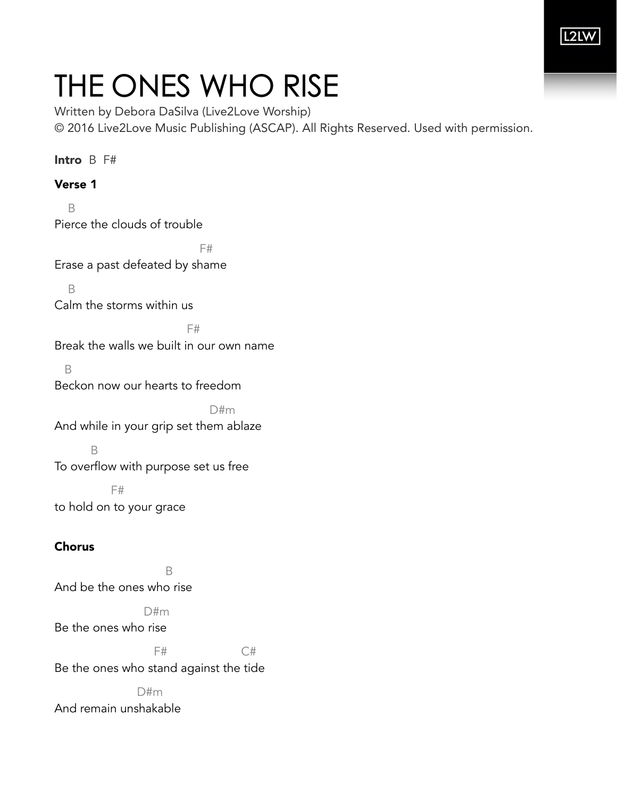

## THE ONES WHO RISE

Written by Debora DaSilva (Live2Love Worship) © 2016 Live2Love Music Publishing (ASCAP). All Rights Reserved. Used with permission.

Intro B F#

Verse 1 B Pierce the clouds of trouble

F# Erase a past defeated by shame

 B Calm the storms within us

**F#** 

Break the walls we built in our own name

 B Beckon now our hearts to freedom

 D#m And while in your grip set them ablaze

 B To overflow with purpose set us free

 F# to hold on to your grace

## Chorus

 B And be the ones who rise

 D#m Be the ones who rise

F# C#

Be the ones who stand against the tide

 D#m And remain unshakable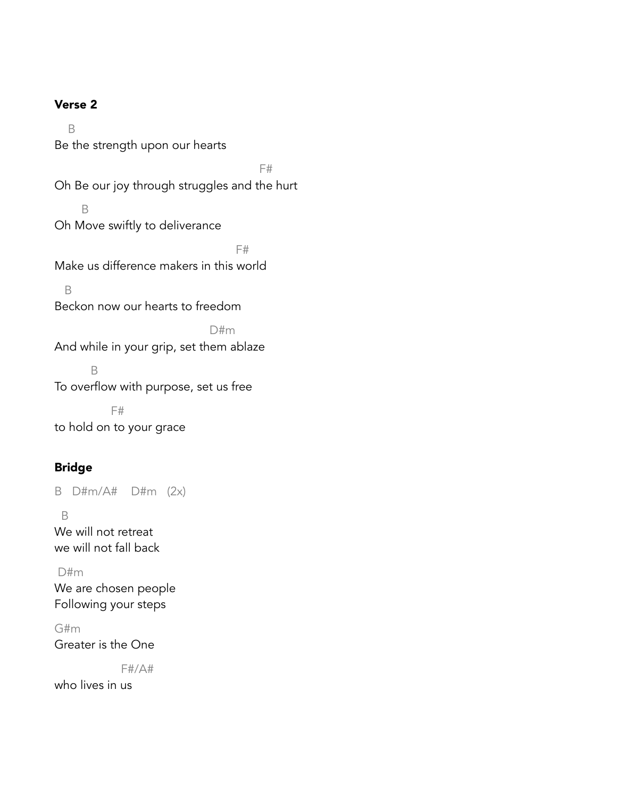## Verse 2

 B Be the strength upon our hearts F# Oh Be our joy through struggles and the hurt B Oh Move swiftly to deliverance F# Make us difference makers in this world B Beckon now our hearts to freedom D#m And while in your grip, set them ablaze B To overflow with purpose, set us free F# to hold on to your grace

## Bridge

B D#m/A# D#m (2x)

 B We will not retreat we will not fall back

 D#m We are chosen people Following your steps

G#m Greater is the One

F#/A#

who lives in us